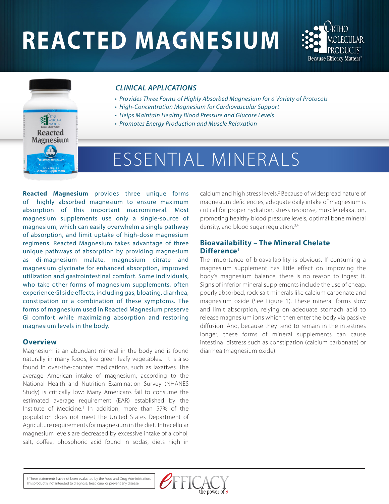# **REACTED MAGNESIUM**





#### *CLINICAL APPLICATIONS*

- *Provides Three Forms of Highly Absorbed Magnesium for a Variety of Protocols*
- *High-Concentration Magnesium for Cardiovascular Support*
- *Helps Maintain Healthy Blood Pressure and Glucose Levels*
- *Promotes Energy Production and Muscle Relaxation*

## ESSENTIAL MINERALS

**Reacted Magnesium** provides three unique forms of highly absorbed magnesium to ensure maximum absorption of this important macromineral. Most magnesium supplements use only a single-source of magnesium, which can easily overwhelm a single pathway of absorption, and limit uptake of high-dose magnesium regimens. Reacted Magnesium takes advantage of three unique pathways of absorption by providing magnesium as di-magnesium malate, magnesium citrate and magnesium glycinate for enhanced absorption, improved utilization and gastrointestinal comfort. Some individuals, who take other forms of magnesium supplements, often experience GI side effects, including gas, bloating, diarrhea, constipation or a combination of these symptoms. The forms of magnesium used in Reacted Magnesium preserve GI comfort while maximizing absorption and restoring magnesium levels in the body.

#### **Overview**

Magnesium is an abundant mineral in the body and is found naturally in many foods, like green leafy vegetables. It is also found in over-the-counter medications, such as laxatives. The average American intake of magnesium, according to the National Health and Nutrition Examination Survey (NHANES Study) is critically low: Many Americans fail to consume the estimated average requirement (EAR) established by the Institute of Medicine.<sup>1</sup> In addition, more than 57% of the population does not meet the United States Department of Agriculture requirements for magnesium in the diet. Intracellular magnesium levels are decreased by excessive intake of alcohol, salt, coffee, phosphoric acid found in sodas, diets high in

calcium and high stress levels.<sup>2</sup> Because of widespread nature of magnesium deficiencies, adequate daily intake of magnesium is critical for proper hydration, stress response, muscle relaxation, promoting healthy blood pressure levels, optimal bone mineral density, and blood sugar regulation.<sup>3,4</sup>

#### **Bioavailability – The Mineral Chelate Difference†**

The importance of bioavailability is obvious. If consuming a magnesium supplement has little effect on improving the body's magnesium balance, there is no reason to ingest it. Signs of inferior mineral supplements include the use of cheap, poorly absorbed, rock-salt minerals like calcium carbonate and magnesium oxide (See Figure 1). These mineral forms slow and limit absorption, relying on adequate stomach acid to release magnesium ions which then enter the body via passive diffusion. And, because they tend to remain in the intestines longer, these forms of mineral supplements can cause intestinal distress such as constipation (calcium carbonate) or diarrhea (magnesium oxide).

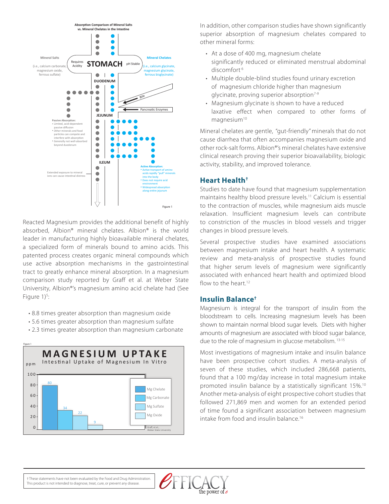

Reacted Magnesium provides the additional benefit of highly absorbed, Albion® mineral chelates. Albion® is the world leader in manufacturing highly bioavailable mineral chelates, a specialized form of minerals bound to amino acids. This patented process creates organic mineral compounds which use active absorption mechanisms in the gastrointestinal tract to greatly enhance mineral absorption. In a magnesium comparison study reported by Graff et al. at Weber State University, Albion®'s magnesium amino acid chelate had (See Figure  $1$ <sup>5</sup>: :

- 8.8 times greater absorption than magnesium oxide
- 5.6 times greater absorption than magnesium sulfate
- 2.3 times greater absorption than magnesium carbonate



In addition, other comparison studies have shown significantly superior absorption of magnesium chelates compared to other mineral forms:

- At a dose of 400 mg, magnesium chelate significantly reduced or eliminated menstrual abdominal discomfort 6
- Multiple double-blind studies found urinary excretion of magnesium chloride higher than magnesium glycinate, proving superior absorption $7-9$
- Magnesium glycinate is shown to have a reduced laxative effect when compared to other forms of magnesium<sup>10</sup>

Mineral chelates are gentle, "gut-friendly" minerals that do not cause diarrhea that often accompanies magnesium oxide and other rock-salt forms. Albion®'s mineral chelates have extensive clinical research proving their superior bioavailability, biologic activity, stability, and improved tolerance.

#### **Heart Health†**

Studies to date have found that magnesium supplementation maintains healthy blood pressure levels.11 Calcium is essential to the contraction of muscles, while magnesium aids muscle relaxation. Insufficient magnesium levels can contribute to constriction of the muscles in blood vessels and trigger changes in blood pressure levels.

Several prospective studies have examined associations between magnesium intake and heart health. A systematic review and meta-analysis of prospective studies found that higher serum levels of magnesium were significantly associated with enhanced heart health and optimized blood flow to the heart.<sup>12</sup>

#### **Insulin Balance†**

Magnesium is integral for the transport of insulin from the bloodstream to cells. Increasing magnesium levels has been shown to maintain normal blood sugar levels. Diets with higher amounts of magnesium are associated with blood sugar balance, due to the role of magnesium in glucose metabolism. 13-15

Most investigations of magnesium intake and insulin balance have been prospective cohort studies. A meta-analysis of seven of these studies, which included 286,668 patients, found that a 100 mg/day increase in total magnesium intake promoted insulin balance by a statistically significant 15%.<sup>10</sup> Another meta-analysis of eight prospective cohort studies that followed 271,869 men and women for an extended period of time found a significant association between magnesium intake from food and insulin balance.16